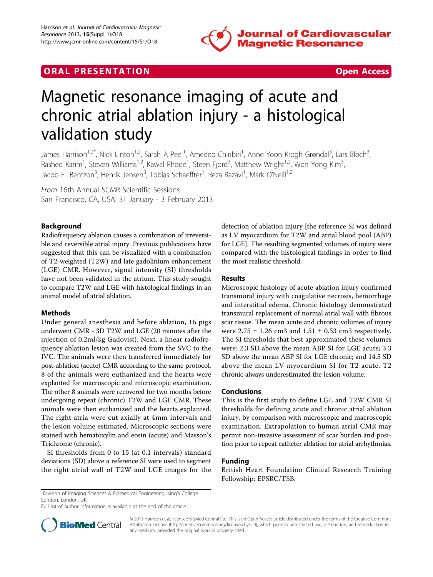

# **ORAL PRESENTATION CONSUMING ACCESS**



# Magnetic resonance imaging of acute and chronic atrial ablation injury - a histological validation study

James Harrison<sup>1,2\*</sup>, Nick Linton<sup>1,2</sup>, Sarah A Peel<sup>1</sup>, Amedeo Chiribiri<sup>1</sup>, Anne Yoon Krogh Grøndal<sup>3</sup>, Lars Bloch<sup>3</sup> , Rashed Karim<sup>1</sup>, Steven Williams<sup>1,2</sup>, Kawal Rhode<sup>1</sup>, Steen Fjord<sup>3</sup>, Matthew Wright<sup>1,2</sup>, Won Yong Kim<sup>3</sup> , Jacob F Bentzon<sup>3</sup>, Henrik Jensen<sup>3</sup>, Tobias Schaeffter<sup>1</sup>, Reza Razavi<sup>1</sup>, Mark O'Neill<sup>1,2</sup>

From 16th Annual SCMR Scientific Sessions San Francisco, CA, USA. 31 January - 3 February 2013

## Background

Radiofrequency ablation causes a combination of irreversible and reversible atrial injury. Previous publications have suggested that this can be visualized with a combination of T2-weighted (T2W) and late gadolinium enhancement (LGE) CMR. However, signal intensity (SI) thresholds have not been validated in the atrium. This study sought to compare T2W and LGE with histological findings in an animal model of atrial ablation.

#### Methods

Under general anesthesia and before ablation, 16 pigs underwent CMR - 3D T2W and LGE (20 minutes after the injection of 0.2ml/kg Gadovist). Next, a linear radiofrequency ablation lesion was created from the SVC to the IVC. The animals were then transferred immediately for post-ablation (acute) CMR according to the same protocol. 8 of the animals were euthanized and the hearts were explanted for macroscopic and microscopic examination. The other 8 animals were recovered for two months before undergoing repeat (chronic) T2W and LGE CMR. These animals were then euthanized and the hearts explanted. The right atria were cut axially at 4mm intervals and the lesion volume estimated. Microscopic sections were stained with hematoxylin and eosin (acute) and Masson's Trichrome (chronic).

SI thresholds from 0 to 15 (at 0.1 intervals) standard deviations (SD) above a reference SI were used to segment the right atrial wall of T2W and LGE images for the detection of ablation injury [the reference SI was defined as LV myocardium for T2W and atrial blood pool (ABP) for LGE]. The resulting segmented volumes of injury were compared with the histological findings in order to find the most realistic threshold.

#### Results

Microscopic histology of acute ablation injury confirmed transmural injury with coagulative necrosis, hemorrhage and interstitial edema. Chronic histology demonstrated transmural replacement of normal atrial wall with fibrous scar tissue. The mean acute and chronic volumes of injury were  $2.75 \pm 1.26$  cm3 and  $1.51 \pm 0.53$  cm3 respectively. The SI thresholds that best approximated these volumes were: 2.3 SD above the mean ABP SI for LGE acute; 3.3 SD above the mean ABP SI for LGE chronic; and 14.5 SD above the mean LV myocardium SI for T2 acute. T2 chronic always underestimated the lesion volume.

#### Conclusions

This is the first study to define LGE and T2W CMR SI thresholds for defining acute and chronic atrial ablation injury, by comparison with microscopic and macroscopic examination. Extrapolation to human atrial CMR may permit non-invasive assessment of scar burden and position prior to repeat catheter ablation for atrial arrhythmias.

### Funding

British Heart Foundation Clinical Research Training Fellowship; EPSRC/TSB.

<sup>1</sup>Division of Imaging Sciences & Biomedical Engineering, King's College London, London, UK

Full list of author information is available at the end of the article



© 2013 Harrison et al; licensee BioMed Central Ltd. This is an Open Access article distributed under the terms of the Creative Commons Attribution License [\(http://creativecommons.org/licenses/by/2.0](http://creativecommons.org/licenses/by/2.0)), which permits unrestricted use, distribution, and reproduction in any medium, provided the original work is properly cited.